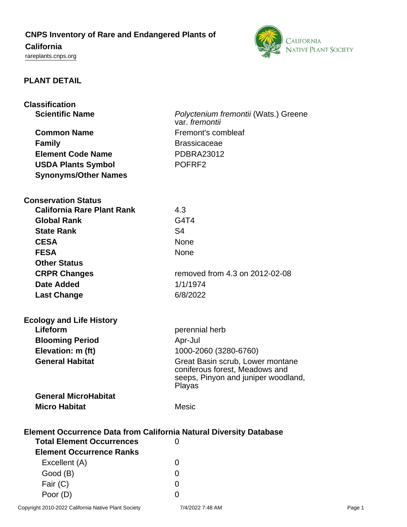# **CNPS Inventory of Rare and Endangered Plants of**

# **California**

<rareplants.cnps.org>



# **PLANT DETAIL**

| <b>Classification</b>                                                     |                                                        |  |
|---------------------------------------------------------------------------|--------------------------------------------------------|--|
| <b>Scientific Name</b>                                                    | Polyctenium fremontii (Wats.) Greene<br>var. fremontii |  |
| <b>Common Name</b>                                                        | Fremont's combleaf                                     |  |
| <b>Family</b>                                                             | <b>Brassicaceae</b>                                    |  |
| <b>Element Code Name</b>                                                  | <b>PDBRA23012</b>                                      |  |
| <b>USDA Plants Symbol</b>                                                 | POFRF <sub>2</sub>                                     |  |
| <b>Synonyms/Other Names</b>                                               |                                                        |  |
|                                                                           |                                                        |  |
| <b>Conservation Status</b>                                                |                                                        |  |
| <b>California Rare Plant Rank</b>                                         | 4.3                                                    |  |
| <b>Global Rank</b>                                                        | G4T4                                                   |  |
| <b>State Rank</b>                                                         | S <sub>4</sub>                                         |  |
| <b>CESA</b>                                                               | <b>None</b>                                            |  |
| <b>FESA</b>                                                               | <b>None</b>                                            |  |
| <b>Other Status</b>                                                       |                                                        |  |
| <b>CRPR Changes</b>                                                       | removed from 4.3 on 2012-02-08                         |  |
| <b>Date Added</b>                                                         | 1/1/1974                                               |  |
| <b>Last Change</b>                                                        | 6/8/2022                                               |  |
|                                                                           |                                                        |  |
| <b>Ecology and Life History</b><br>Lifeform                               |                                                        |  |
|                                                                           | perennial herb                                         |  |
| <b>Blooming Period</b><br>Elevation: m (ft)                               | Apr-Jul<br>1000-2060 (3280-6760)                       |  |
| <b>General Habitat</b>                                                    | Great Basin scrub, Lower montane                       |  |
|                                                                           | coniferous forest, Meadows and                         |  |
|                                                                           | seeps, Pinyon and juniper woodland,                    |  |
|                                                                           | Playas                                                 |  |
| <b>General MicroHabitat</b>                                               |                                                        |  |
| <b>Micro Habitat</b>                                                      | <b>Mesic</b>                                           |  |
| <b>Element Occurrence Data from California Natural Diversity Database</b> |                                                        |  |
| <b>Total Element Occurrences</b>                                          | 0                                                      |  |
| <b>Element Occurrence Ranks</b>                                           |                                                        |  |
| Excellent (A)                                                             | 0                                                      |  |
| Good (B)                                                                  | 0                                                      |  |
| Fair (C)                                                                  | 0                                                      |  |
| Poor (D)                                                                  | 0                                                      |  |